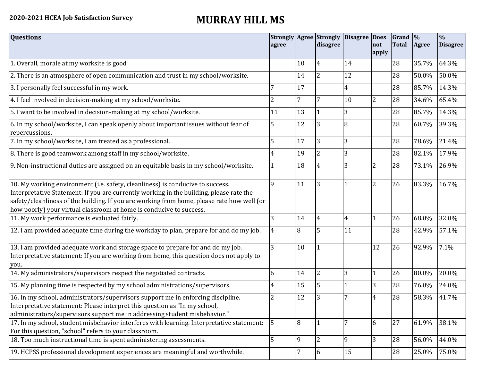## **2020-2021 HCEA Job Satisfaction Survey MURRAY HILL MS**

| <b>Questions</b>                                                                                                                                                                                                                                                                                                                               | agree          |                | <b>Strongly Agree Strongly</b><br>disagree | Disagree Does  | not<br>apply   | Grand <sup>9</sup><br><b>Total</b> | Agree | $\frac{0}{6}$<br><b>Disagree</b> |
|------------------------------------------------------------------------------------------------------------------------------------------------------------------------------------------------------------------------------------------------------------------------------------------------------------------------------------------------|----------------|----------------|--------------------------------------------|----------------|----------------|------------------------------------|-------|----------------------------------|
| 1. Overall, morale at my worksite is good                                                                                                                                                                                                                                                                                                      |                | 10             | 4                                          | 14             |                | 28                                 | 35.7% | 64.3%                            |
| 2. There is an atmosphere of open communication and trust in my school/worksite.                                                                                                                                                                                                                                                               |                | 14             | $\overline{2}$                             | 12             |                | 28                                 | 50.0% | 50.0%                            |
| 3. I personally feel successful in my work.                                                                                                                                                                                                                                                                                                    |                | 17             |                                            | $\overline{4}$ |                | 28                                 | 85.7% | 14.3%                            |
| 4. I feel involved in decision-making at my school/worksite.                                                                                                                                                                                                                                                                                   | $\overline{2}$ | 7              |                                            | 10             | $\overline{2}$ | 28                                 | 34.6% | 65.4%                            |
| 5. I want to be involved in decision-making at my school/worksite.                                                                                                                                                                                                                                                                             | 11             | 13             |                                            | 3              |                | 28                                 | 85.7% | 14.3%                            |
| 6. In my school/worksite, I can speak openly about important issues without fear of<br>repercussions.                                                                                                                                                                                                                                          | 5              | 12             | $\overline{3}$                             | 8              |                | 28                                 | 60.7% | 39.3%                            |
| 7. In my school/worksite, I am treated as a professional.                                                                                                                                                                                                                                                                                      | 5              | 17             | 3                                          | 3              |                | 28                                 | 78.6% | 21.4%                            |
| 8. There is good teamwork among staff in my school/worksite.                                                                                                                                                                                                                                                                                   | 4              | 19             | $\overline{2}$                             | $\overline{3}$ |                | 28                                 | 82.1% | 17.9%                            |
| 9. Non-instructional duties are assigned on an equitable basis in my school/worksite.                                                                                                                                                                                                                                                          |                | 18             | 4                                          | 3              | 2              | 28                                 | 73.1% | 26.9%                            |
| 10. My working environment (i.e. safety, cleanliness) is conducive to success.<br>Interpretative Statement: If you are currently working in the building, please rate the<br>safety/cleanliness of the building. If you are working from home, please rate how well (or<br>how poorly) your virtual classroom at home is conducive to success. | 9              | 11             | 3                                          |                | $\overline{2}$ | 26                                 | 83.3% | 16.7%                            |
| 11. My work performance is evaluated fairly.                                                                                                                                                                                                                                                                                                   | 3              | 14             | 4                                          | $\overline{4}$ |                | 26                                 | 68.0% | 32.0%                            |
| 12. I am provided adequate time during the workday to plan, prepare for and do my job.                                                                                                                                                                                                                                                         | $\overline{4}$ | 8              | 5                                          | 11             |                | 28                                 | 42.9% | 57.1%                            |
| 13. I am provided adequate work and storage space to prepare for and do my job.<br>Interpretative statement: If you are working from home, this question does not apply to<br>you.                                                                                                                                                             | 3              | 10             |                                            |                | 12             | 26                                 | 92.9% | 7.1%                             |
| 14. My administrators/supervisors respect the negotiated contracts.                                                                                                                                                                                                                                                                            | 6              | 14             | $\overline{2}$                             | 3              | 1              | 26                                 | 80.0% | 20.0%                            |
| 15. My planning time is respected by my school administrations/supervisors.                                                                                                                                                                                                                                                                    | 4              | 15             | 5                                          |                | 3              | 28                                 | 76.0% | 24.0%                            |
| 16. In my school, administrators/supervisors support me in enforcing discipline.<br>Interpretative statement: Please interpret this question as "In my school,<br>administrators/supervisors support me in addressing student misbehavior."                                                                                                    | 2              | 12             | 3                                          |                | 4              | 28                                 | 58.3% | 41.7%                            |
| 17. In my school, student misbehavior interferes with learning. Interpretative statement:<br>For this question, "school" refers to your classroom.                                                                                                                                                                                             | 5              | $\overline{8}$ |                                            |                | 6              | 27                                 | 61.9% | 38.1%                            |
| 18. Too much instructional time is spent administering assessments.                                                                                                                                                                                                                                                                            | 5              | $\overline{9}$ | $\overline{2}$                             | 9              | $\overline{3}$ | 28                                 | 56.0% | 44.0%                            |
| 19. HCPSS professional development experiences are meaningful and worthwhile.                                                                                                                                                                                                                                                                  |                | 7              | 6                                          | 15             |                | 28                                 | 25.0% | 75.0%                            |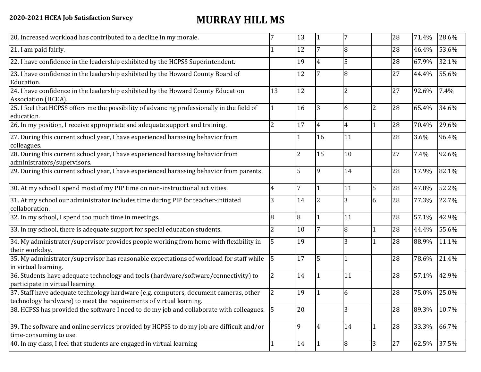## **2020-2021 HCEA Job Satisfaction Survey MURRAY HILL MS**

| 20. Increased workload has contributed to a decline in my morale.                                                                                          |                | 13              |                |                |                | 28 | 71.4% | 28.6% |
|------------------------------------------------------------------------------------------------------------------------------------------------------------|----------------|-----------------|----------------|----------------|----------------|----|-------|-------|
| 21. I am paid fairly.                                                                                                                                      |                | 12              |                | 8              |                | 28 | 46.4% | 53.6% |
| 22. I have confidence in the leadership exhibited by the HCPSS Superintendent.                                                                             |                | 19              |                | 5              |                | 28 | 67.9% | 32.1% |
| 23. I have confidence in the leadership exhibited by the Howard County Board of<br>Education.                                                              |                | 12              |                | 8              |                | 27 | 44.4% | 55.6% |
| 24. I have confidence in the leadership exhibited by the Howard County Education<br>Association (HCEA).                                                    | 13             | $\overline{12}$ |                | $\overline{2}$ |                | 27 | 92.6% | 7.4%  |
| 25. I feel that HCPSS offers me the possibility of advancing professionally in the field of<br>education.                                                  |                | 16              | 3              | 6              | $\overline{2}$ | 28 | 65.4% | 34.6% |
| 26. In my position, I receive appropriate and adequate support and training.                                                                               | 2              | 17              | 4              | $\overline{4}$ | $\mathbf{1}$   | 28 | 70.4% | 29.6% |
| 27. During this current school year, I have experienced harassing behavior from<br>colleagues.                                                             |                |                 | 16             | 11             |                | 28 | 3.6%  | 96.4% |
| 28. During this current school year, I have experienced harassing behavior from<br>administrators/supervisors.                                             |                | 2               | 15             | 10             |                | 27 | 7.4%  | 92.6% |
| 29. During this current school year, I have experienced harassing behavior from parents.                                                                   |                | 5               | $\overline{9}$ | 14             |                | 28 | 17.9% | 82.1% |
| 30. At my school I spend most of my PIP time on non-instructional activities.                                                                              | 4              | 7               |                | 11             | 5              | 28 | 47.8% | 52.2% |
| 31. At my school our administrator includes time during PIP for teacher-initiated<br>collaboration.                                                        | 3              | 14              | $\overline{2}$ | 3              | 6              | 28 | 77.3% | 22.7% |
| 32. In my school, I spend too much time in meetings.                                                                                                       | 8              | 8               |                | 11             |                | 28 | 57.1% | 42.9% |
| 33. In my school, there is adequate support for special education students.                                                                                | $\overline{2}$ | 10              | 7              | 8              | $\mathbf{1}$   | 28 | 44.4% | 55.6% |
| 34. My administrator/supervisor provides people working from home with flexibility in<br>their workday.                                                    | 5              | 19              |                | 3              | $\mathbf{1}$   | 28 | 88.9% | 11.1% |
| 35. My administrator/supervisor has reasonable expectations of workload for staff while<br>in virtual learning.                                            | 5              | 17              | 5              | 1              |                | 28 | 78.6% | 21.4% |
| 36. Students have adequate technology and tools (hardware/software/connectivity) to<br>participate in virtual learning.                                    | $\overline{2}$ | 14              |                | 11             |                | 28 | 57.1% | 42.9% |
| 37. Staff have adequate technology hardware (e.g. computers, document cameras, other<br>technology hardware) to meet the requirements of virtual learning. | $\overline{2}$ | 19              |                | 6              |                | 28 | 75.0% | 25.0% |
| 38. HCPSS has provided the software I need to do my job and collaborate with colleagues. 5                                                                 |                | 20              |                | 3              |                | 28 | 89.3% | 10.7% |
| 39. The software and online services provided by HCPSS to do my job are difficult and/or<br>time-consuming to use.                                         |                | $\overline{9}$  | $\overline{4}$ | 14             | $\mathbf{1}$   | 28 | 33.3% | 66.7% |
| 40. In my class, I feel that students are engaged in virtual learning                                                                                      |                | 14              |                | 8              | 3              | 27 | 62.5% | 37.5% |